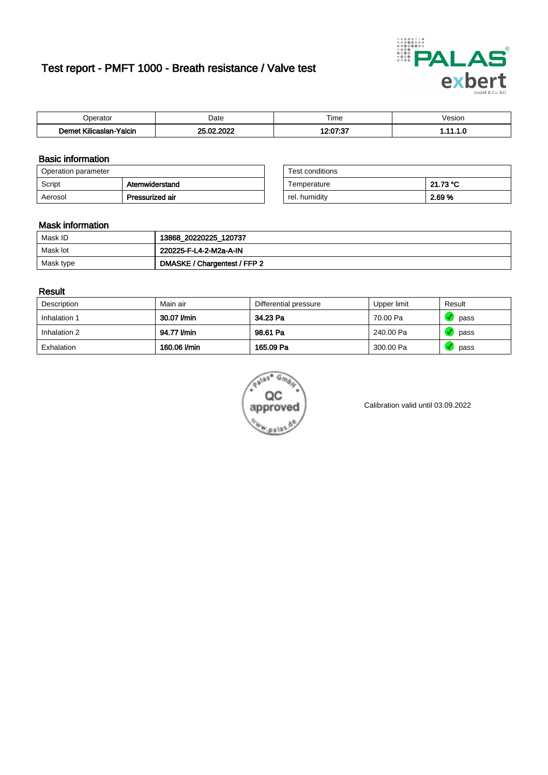# Test report - PMFT 1000 - Breath resistance / Valve test



| 'perator                                | Date                        | $- \cdot$<br>⊺ime | /esior |
|-----------------------------------------|-----------------------------|-------------------|--------|
| .<br>Yalcin<br>$  -$<br>aslan<br>. Ilir | 000 <sup>0</sup><br>00<br>. | 10.07.07<br>ت.    |        |

### Basic information

| Operation parameter |                 | Test conditions |          |
|---------------------|-----------------|-----------------|----------|
| Script              | Atemwiderstand  | Temperature     | 21.73 °C |
| Aerosol             | Pressurized air | rel. humidity   | 2.69 %   |

| Test conditions |          |
|-----------------|----------|
| Temperature     | 21.73 °C |
| rel. humidity   | 2.69%    |

#### Mask information

| Mask ID   | 13868_20220225_120737        |
|-----------|------------------------------|
| Mask lot  | 220225-F-L4-2-M2a-A-IN       |
| Mask type | DMASKE / Chargentest / FFP 2 |

### Result

| Description  | Main air     | Differential pressure | Upper limit | Result |
|--------------|--------------|-----------------------|-------------|--------|
| Inhalation 1 | 30.07 l/min  | 34.23 Pa              | 70.00 Pa    | pass   |
| Inhalation 2 | 94.77 l/min  | 98.61 Pa              | 240.00 Pa   | pass   |
| Exhalation   | 160.06 l/min | 165.09 Pa             | 300.00 Pa   | pass   |



Calibration valid until 03.09.2022